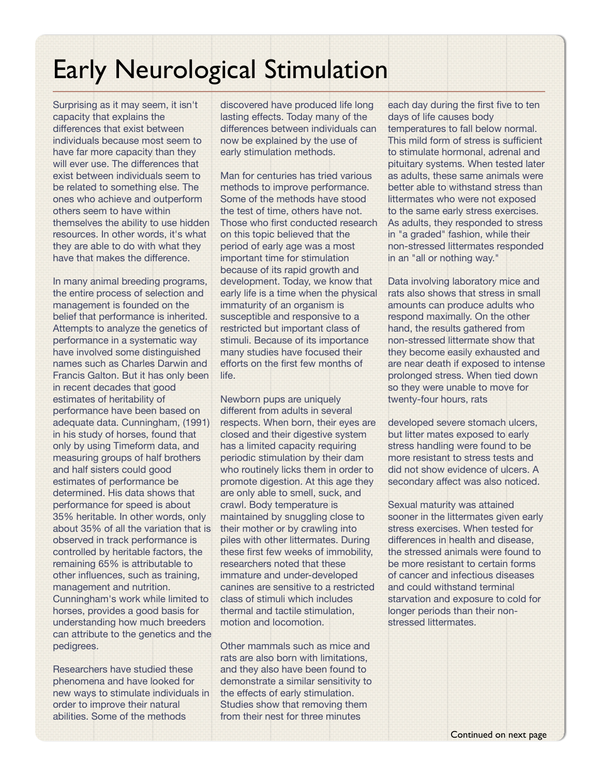## Early Neurological Stimulation

Surprising as it may seem, it isn't capacity that explains the differences that exist between individuals because most seem to have far more capacity than they will ever use. The differences that exist between individuals seem to be related to something else. The ones who achieve and outperform others seem to have within themselves the ability to use hidden resources. In other words, it's what they are able to do with what they have that makes the difference.

In many animal breeding programs, the entire process of selection and management is founded on the belief that performance is inherited. Attempts to analyze the genetics of performance in a systematic way have involved some distinguished names such as Charles Darwin and Francis Galton. But it has only been in recent decades that good estimates of heritability of performance have been based on adequate data. Cunningham, (1991) in his study of horses, found that only by using Timeform data, and measuring groups of half brothers and half sisters could good estimates of performance be determined. His data shows that performance for speed is about 35% heritable. In other words, only about 35% of all the variation that is observed in track performance is controlled by heritable factors, the remaining 65% is attributable to other influences, such as training, management and nutrition. Cunningham's work while limited to horses, provides a good basis for understanding how much breeders can attribute to the genetics and the pedigrees.

Researchers have studied these phenomena and have looked for new ways to stimulate individuals in order to improve their natural abilities. Some of the methods

discovered have produced life long lasting effects. Today many of the differences between individuals can now be explained by the use of early stimulation methods.

Man for centuries has tried various methods to improve performance. Some of the methods have stood the test of time, others have not. Those who first conducted research on this topic believed that the period of early age was a most important time for stimulation because of its rapid growth and development. Today, we know that early life is a time when the physical immaturity of an organism is susceptible and responsive to a restricted but important class of stimuli. Because of its importance many studies have focused their efforts on the first few months of life.

Newborn pups are uniquely different from adults in several respects. When born, their eyes are closed and their digestive system has a limited capacity requiring periodic stimulation by their dam who routinely licks them in order to promote digestion. At this age they are only able to smell, suck, and crawl. Body temperature is maintained by snuggling close to their mother or by crawling into piles with other littermates. During these first few weeks of immobility, researchers noted that these immature and under-developed canines are sensitive to a restricted class of stimuli which includes thermal and tactile stimulation, motion and locomotion.

Other mammals such as mice and rats are also born with limitations, and they also have been found to demonstrate a similar sensitivity to the effects of early stimulation. Studies show that removing them from their nest for three minutes

each day during the first five to ten days of life causes body temperatures to fall below normal. This mild form of stress is sufficient to stimulate hormonal, adrenal and pituitary systems. When tested later as adults, these same animals were better able to withstand stress than littermates who were not exposed to the same early stress exercises. As adults, they responded to stress in "a graded" fashion, while their non-stressed littermates responded in an "all or nothing way."

Data involving laboratory mice and rats also shows that stress in small amounts can produce adults who respond maximally. On the other hand, the results gathered from non-stressed littermate show that they become easily exhausted and are near death if exposed to intense prolonged stress. When tied down so they were unable to move for twenty-four hours, rats

developed severe stomach ulcers, but litter mates exposed to early stress handling were found to be more resistant to stress tests and did not show evidence of ulcers. A secondary affect was also noticed.

Sexual maturity was attained sooner in the littermates given early stress exercises. When tested for differences in health and disease, the stressed animals were found to be more resistant to certain forms of cancer and infectious diseases and could withstand terminal starvation and exposure to cold for longer periods than their nonstressed littermates.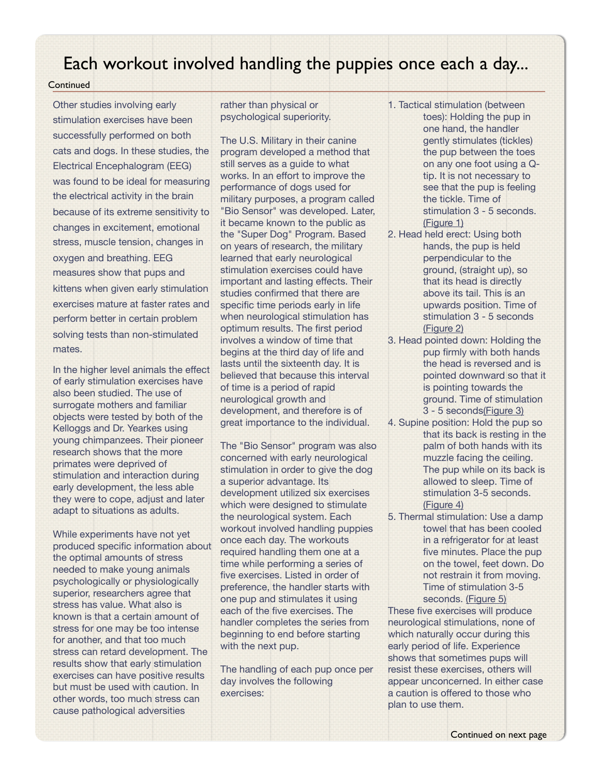## Each workout involved handling the puppies once each a day...

## **Continued**

Other studies involving early stimulation exercises have been successfully performed on both cats and dogs. In these studies, the Electrical Encephalogram (EEG) was found to be ideal for measuring the electrical activity in the brain because of its extreme sensitivity to changes in excitement, emotional stress, muscle tension, changes in oxygen and breathing. EEG measures show that pups and kittens when given early stimulation exercises mature at faster rates and perform better in certain problem solving tests than non-stimulated mates.

In the higher level animals the effect of early stimulation exercises have also been studied. The use of surrogate mothers and familiar objects were tested by both of the Kelloggs and Dr. Yearkes using young chimpanzees. Their pioneer research shows that the more primates were deprived of stimulation and interaction during early development, the less able they were to cope, adjust and later adapt to situations as adults.

While experiments have not yet produced specific information about the optimal amounts of stress needed to make young animals psychologically or physiologically superior, researchers agree that stress has value. What also is known is that a certain amount of stress for one may be too intense for another, and that too much stress can retard development. The results show that early stimulation exercises can have positive results but must be used with caution. In other words, too much stress can cause pathological adversities

rather than physical or psychological superiority.

The U.S. Military in their canine program developed a method that still serves as a guide to what works. In an effort to improve the performance of dogs used for military purposes, a program called "Bio Sensor" was developed. Later, it became known to the public as the "Super Dog" Program. Based on years of research, the military learned that early neurological stimulation exercises could have important and lasting effects. Their studies confirmed that there are specific time periods early in life when neurological stimulation has optimum results. The first period involves a window of time that begins at the third day of life and lasts until the sixteenth day. It is believed that because this interval of time is a period of rapid neurological growth and development, and therefore is of great importance to the individual.

The "Bio Sensor" program was also concerned with early neurological stimulation in order to give the dog a superior advantage. Its development utilized six exercises which were designed to stimulate the neurological system. Each workout involved handling puppies once each day. The workouts required handling them one at a time while performing a series of five exercises. Listed in order of preference, the handler starts with one pup and stimulates it using each of the five exercises. The handler completes the series from beginning to end before starting with the next pup.

The handling of each pup once per day involves the following exercises:

- 1. Tactical stimulation (between toes): Holding the pup in one hand, the handler gently stimulates (tickles) the pup between the toes on any one foot using a Qtip. It is not necessary to see that the pup is feeling the tickle. Time of stimulation 3 - 5 seconds. [\(Figure 1\)](http://www.breedingbetterdogs.com/articles/early_neurological_stimulation_en.php#fig1)
- 2. Head held erect: Using both hands, the pup is held perpendicular to the ground, (straight up), so that its head is directly above its tail. This is an upwards position. Time of stimulation 3 - 5 seconds [\(Figure 2\)](http://www.breedingbetterdogs.com/articles/early_neurological_stimulation_en.php#fig2)
- 3. Head pointed down: Holding the pup firmly with both hands the head is reversed and is pointed downward so that it is pointing towards the ground. Time of stimulation 3 - 5 second[s\(Figure 3\)](http://www.breedingbetterdogs.com/articles/early_neurological_stimulation_en.php#fig3)
- 4. Supine position: Hold the pup so that its back is resting in the palm of both hands with its muzzle facing the ceiling. The pup while on its back is allowed to sleep. Time of stimulation 3-5 seconds. [\(Figure 4\)](http://www.breedingbetterdogs.com/articles/early_neurological_stimulation_en.php#fig4)
- 5. Thermal stimulation: Use a damp towel that has been cooled in a refrigerator for at least five minutes. Place the pup on the towel, feet down. Do not restrain it from moving. Time of stimulation 3-5 seconds. [\(Figure 5\)](http://www.breedingbetterdogs.com/articles/early_neurological_stimulation_en.php#fig5)

These five exercises will produce neurological stimulations, none of which naturally occur during this early period of life. Experience shows that sometimes pups will resist these exercises, others will appear unconcerned. In either case a caution is offered to those who plan to use them.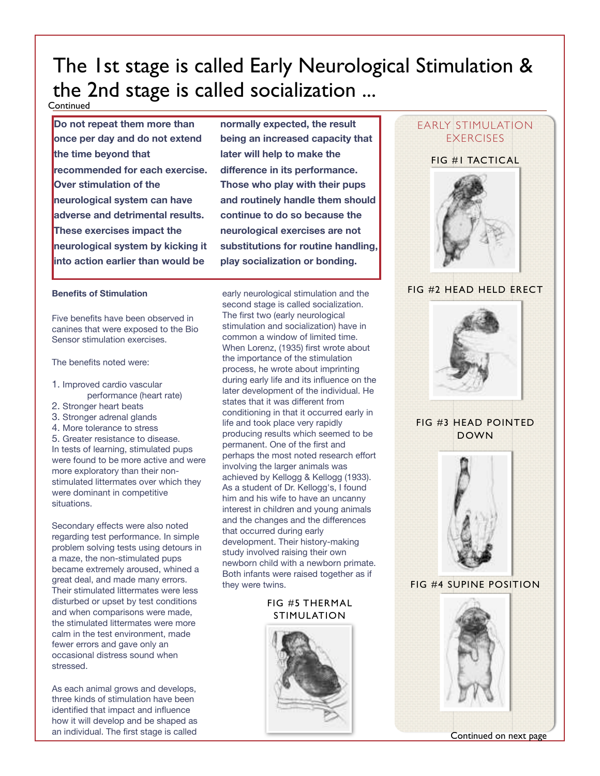## The 1st stage is called Early Neurological Stimulation & the 2nd stage is called socialization ...

**Continued** 

**Do not repeat them more than once per day and do not extend the time beyond that recommended for each exercise. Over stimulation of the neurological system can have adverse and detrimental results. These exercises impact the neurological system by kicking it into action earlier than would be** 

**normally expected, the result being an increased capacity that later will help to make the difference in its performance. Those who play with their pups and routinely handle them should continue to do so because the neurological exercises are not substitutions for routine handling, play socialization or bonding.**

### **Benefits of Stimulation**

Five benefits have been observed in canines that were exposed to the Bio Sensor stimulation exercises.

The benefits noted were:

- 1. Improved cardio vascular performance (heart rate)
- 2. Stronger heart beats
- 3. Stronger adrenal glands
- 4. More tolerance to stress
- 5. Greater resistance to disease.

In tests of learning, stimulated pups were found to be more active and were more exploratory than their nonstimulated littermates over which they were dominant in competitive situations.

Secondary effects were also noted regarding test performance. In simple problem solving tests using detours in a maze, the non-stimulated pups became extremely aroused, whined a great deal, and made many errors. Their stimulated littermates were less disturbed or upset by test conditions and when comparisons were made, the stimulated littermates were more calm in the test environment, made fewer errors and gave only an occasional distress sound when stressed.

As each animal grows and develops, three kinds of stimulation have been identified that impact and influence how it will develop and be shaped as an individual. The first stage is called

early neurological stimulation and the second stage is called socialization. The first two (early neurological stimulation and socialization) have in common a window of limited time. When Lorenz, (1935) first wrote about the importance of the stimulation process, he wrote about imprinting during early life and its influence on the later development of the individual. He states that it was different from conditioning in that it occurred early in life and took place very rapidly producing results which seemed to be permanent. One of the first and perhaps the most noted research effort involving the larger animals was achieved by Kellogg & Kellogg (1933). As a student of Dr. Kellogg's, I found him and his wife to have an uncanny interest in children and young animals and the changes and the differences that occurred during early development. Their history-making study involved raising their own newborn child with a newborn primate. Both infants were raised together as if they were twins.

## FIG #5 THERMAL STIMULATION



# EARLY STIMULATION **EXERCISES** FIG #1 TACTICAL FIG #2 HEAD HELD ERECT FIG #3 HEAD POINTED DOWN



FIG #4 SUPINE POSITION



Continued on next page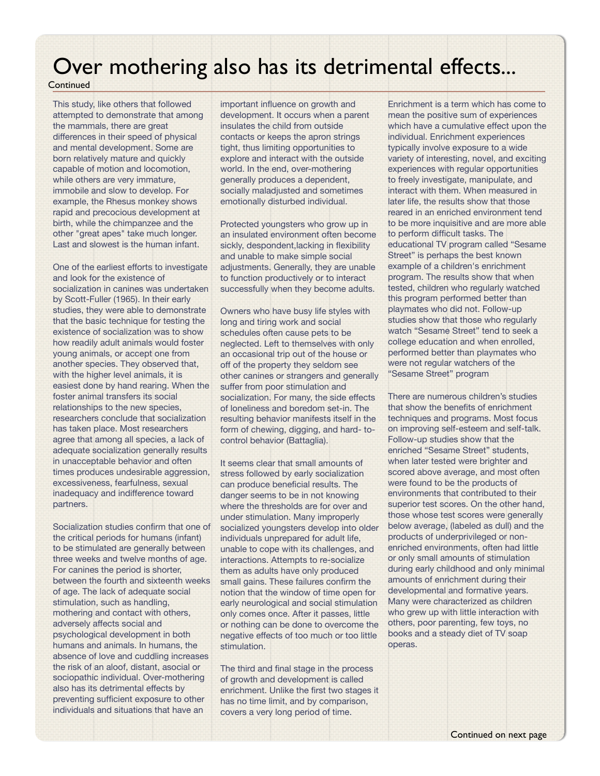## Over mothering also has its detrimental effects...

## **Continued**

This study, like others that followed attempted to demonstrate that among the mammals, there are great differences in their speed of physical and mental development. Some are born relatively mature and quickly capable of motion and locomotion, while others are very immature, immobile and slow to develop. For example, the Rhesus monkey shows rapid and precocious development at birth, while the chimpanzee and the other "great apes" take much longer. Last and slowest is the human infant.

One of the earliest efforts to investigate and look for the existence of socialization in canines was undertaken by Scott-Fuller (1965). In their early studies, they were able to demonstrate that the basic technique for testing the existence of socialization was to show how readily adult animals would foster young animals, or accept one from another species. They observed that, with the higher level animals, it is easiest done by hand rearing. When the foster animal transfers its social relationships to the new species, researchers conclude that socialization has taken place. Most researchers agree that among all species, a lack of adequate socialization generally results in unacceptable behavior and often times produces undesirable aggression, excessiveness, fearfulness, sexual inadequacy and indifference toward partners.

Socialization studies confirm that one of the critical periods for humans (infant) to be stimulated are generally between three weeks and twelve months of age. For canines the period is shorter, between the fourth and sixteenth weeks of age. The lack of adequate social stimulation, such as handling, mothering and contact with others, adversely affects social and psychological development in both humans and animals. In humans, the absence of love and cuddling increases the risk of an aloof, distant, asocial or sociopathic individual. Over-mothering also has its detrimental effects by preventing sufficient exposure to other individuals and situations that have an

important influence on growth and development. It occurs when a parent insulates the child from outside contacts or keeps the apron strings tight, thus limiting opportunities to explore and interact with the outside world. In the end, over-mothering generally produces a dependent, socially maladjusted and sometimes emotionally disturbed individual.

Protected youngsters who grow up in an insulated environment often become sickly, despondent,lacking in flexibility and unable to make simple social adjustments. Generally, they are unable to function productively or to interact successfully when they become adults.

Owners who have busy life styles with long and tiring work and social schedules often cause pets to be neglected. Left to themselves with only an occasional trip out of the house or off of the property they seldom see other canines or strangers and generally suffer from poor stimulation and socialization. For many, the side effects of loneliness and boredom set-in. The resulting behavior manifests itself in the form of chewing, digging, and hard- tocontrol behavior (Battaglia).

It seems clear that small amounts of stress followed by early socialization can produce beneficial results. The danger seems to be in not knowing where the thresholds are for over and under stimulation. Many improperly socialized youngsters develop into older individuals unprepared for adult life, unable to cope with its challenges, and interactions. Attempts to re-socialize them as adults have only produced small gains. These failures confirm the notion that the window of time open for early neurological and social stimulation only comes once. After it passes, little or nothing can be done to overcome the negative effects of too much or too little stimulation.

The third and final stage in the process of growth and development is called enrichment. Unlike the first two stages it has no time limit, and by comparison, covers a very long period of time.

Enrichment is a term which has come to mean the positive sum of experiences which have a cumulative effect upon the individual. Enrichment experiences typically involve exposure to a wide variety of interesting, novel, and exciting experiences with regular opportunities to freely investigate, manipulate, and interact with them. When measured in later life, the results show that those reared in an enriched environment tend to be more inquisitive and are more able to perform difficult tasks. The educational TV program called "Sesame Street" is perhaps the best known example of a children's enrichment program. The results show that when tested, children who regularly watched this program performed better than playmates who did not. Follow-up studies show that those who regularly watch "Sesame Street" tend to seek a college education and when enrolled, performed better than playmates who were not regular watchers of the "Sesame Street" program

There are numerous children's studies that show the benefits of enrichment techniques and programs. Most focus on improving self-esteem and self-talk. Follow-up studies show that the enriched "Sesame Street" students, when later tested were brighter and scored above average, and most often were found to be the products of environments that contributed to their superior test scores. On the other hand, those whose test scores were generally below average, (labeled as dull) and the products of underprivileged or nonenriched environments, often had little or only small amounts of stimulation during early childhood and only minimal amounts of enrichment during their developmental and formative years. Many were characterized as children who grew up with little interaction with others, poor parenting, few toys, no books and a steady diet of TV soap operas.